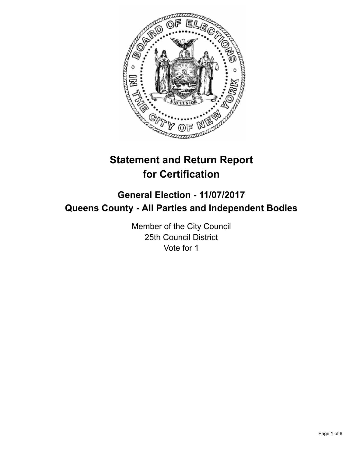

# **Statement and Return Report for Certification**

## **General Election - 11/07/2017 Queens County - All Parties and Independent Bodies**

Member of the City Council 25th Council District Vote for 1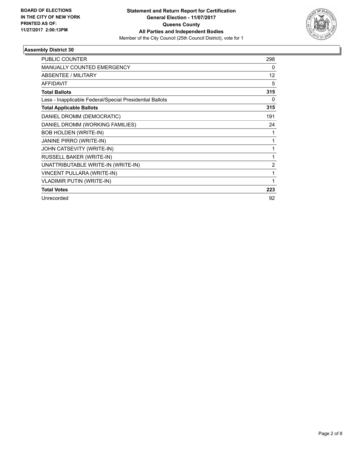

### **Assembly District 30**

| <b>PUBLIC COUNTER</b>                                    | 298            |
|----------------------------------------------------------|----------------|
| MANUALLY COUNTED EMERGENCY                               | 0              |
| <b>ABSENTEE / MILITARY</b>                               | 12             |
| <b>AFFIDAVIT</b>                                         | 5              |
| <b>Total Ballots</b>                                     | 315            |
| Less - Inapplicable Federal/Special Presidential Ballots | 0              |
| <b>Total Applicable Ballots</b>                          | 315            |
| DANIEL DROMM (DEMOCRATIC)                                | 191            |
| DANIEL DROMM (WORKING FAMILIES)                          | 24             |
| <b>BOB HOLDEN (WRITE-IN)</b>                             |                |
| JANINE PIRRO (WRITE-IN)                                  | 1              |
| JOHN CATSEVITY (WRITE-IN)                                | 1              |
| RUSSELL BAKER (WRITE-IN)                                 | 1              |
| UNATTRIBUTABLE WRITE-IN (WRITE-IN)                       | $\overline{2}$ |
| VINCENT PULLARA (WRITE-IN)                               |                |
| <b>VLADIMIR PUTIN (WRITE-IN)</b>                         | 1              |
| <b>Total Votes</b>                                       | 223            |
| Unrecorded                                               | 92             |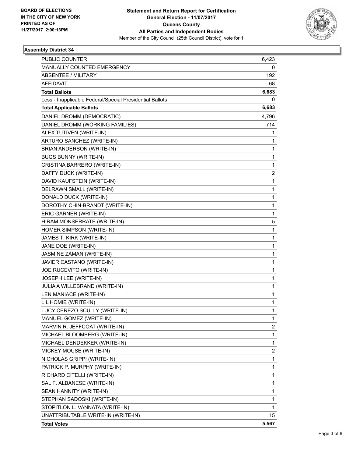

### **Assembly District 34**

| <b>PUBLIC COUNTER</b>                                    | 6,423 |
|----------------------------------------------------------|-------|
| MANUALLY COUNTED EMERGENCY                               | 0     |
| ABSENTEE / MILITARY                                      | 192   |
| AFFIDAVIT                                                | 68    |
| <b>Total Ballots</b>                                     | 6,683 |
| Less - Inapplicable Federal/Special Presidential Ballots | 0     |
| <b>Total Applicable Ballots</b>                          | 6,683 |
| DANIEL DROMM (DEMOCRATIC)                                | 4,796 |
| DANIEL DROMM (WORKING FAMILIES)                          | 714   |
| ALEX TUTIVEN (WRITE-IN)                                  | 1     |
| ARTURO SANCHEZ (WRITE-IN)                                | 1     |
| BRIAN ANDERSON (WRITE-IN)                                | 1     |
| <b>BUGS BUNNY (WRITE-IN)</b>                             | 1     |
| CRISTINA BARRERO (WRITE-IN)                              | 1     |
| DAFFY DUCK (WRITE-IN)                                    | 2     |
| DAVID KAUFSTEIN (WRITE-IN)                               | 1     |
| DELRAWN SMALL (WRITE-IN)                                 | 1     |
| DONALD DUCK (WRITE-IN)                                   | 1     |
| DOROTHY CHIN-BRANDT (WRITE-IN)                           | 1     |
| ERIC GARNER (WRITE-IN)                                   | 1     |
| HIRAM MONSERRATE (WRITE-IN)                              | 5     |
| HOMER SIMPSON (WRITE-IN)                                 | 1     |
| JAMES T. KIRK (WRITE-IN)                                 | 1     |
| JANE DOE (WRITE-IN)                                      | 1     |
| JASMINE ZAMAN (WRITE-IN)                                 | 1     |
| JAVIER CASTANO (WRITE-IN)                                | 1     |
| JOE RUCEVITO (WRITE-IN)                                  | 1     |
| JOSEPH LEE (WRITE-IN)                                    | 1     |
| JULIA A WILLEBRAND (WRITE-IN)                            | 1     |
| LEN MANIACE (WRITE-IN)                                   | 1     |
| LIL HOMIE (WRITE-IN)                                     | 1     |
| LUCY CEREZO SCULLY (WRITE-IN)                            | 1     |
| MANUEL GOMEZ (WRITE-IN)                                  | 1     |
| MARVIN R. JEFFCOAT (WRITE-IN)                            | 2     |
| MICHAEL BLOOMBERG (WRITE-IN)                             | 1     |
| MICHAEL DENDEKKER (WRITE-IN)                             | 1     |
| MICKEY MOUSE (WRITE-IN)                                  | 2     |
| NICHOLAS GRIPPI (WRITE-IN)                               | 1     |
| PATRICK P. MURPHY (WRITE-IN)                             | 1     |
| RICHARD CITELLI (WRITE-IN)                               | 1     |
| SAL F. ALBANESE (WRITE-IN)                               | 1     |
| SEAN HANNITY (WRITE-IN)                                  | 1     |
| STEPHAN SADOSKI (WRITE-IN)                               | 1     |
| STOPITLON L. VANNATA (WRITE-IN)                          | 1     |
| UNATTRIBUTABLE WRITE-IN (WRITE-IN)                       | 15    |
| <b>Total Votes</b>                                       | 5,567 |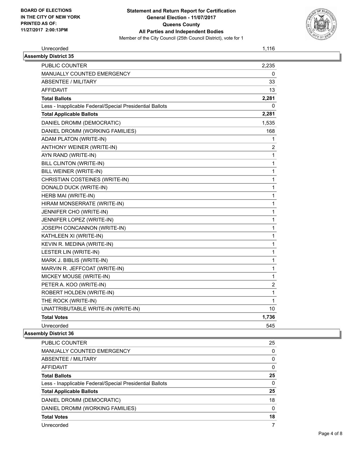

Unrecorded 1,116

| <b>Assembly District 35</b>                              |                         |
|----------------------------------------------------------|-------------------------|
| <b>PUBLIC COUNTER</b>                                    | 2,235                   |
| MANUALLY COUNTED EMERGENCY                               | 0                       |
| ABSENTEE / MILITARY                                      | 33                      |
| <b>AFFIDAVIT</b>                                         | 13                      |
| <b>Total Ballots</b>                                     | 2,281                   |
| Less - Inapplicable Federal/Special Presidential Ballots | 0                       |
| <b>Total Applicable Ballots</b>                          | 2,281                   |
| DANIEL DROMM (DEMOCRATIC)                                | 1,535                   |
| DANIEL DROMM (WORKING FAMILIES)                          | 168                     |
| ADAM PLATON (WRITE-IN)                                   | 1                       |
| ANTHONY WEINER (WRITE-IN)                                | $\overline{\mathbf{c}}$ |
| AYN RAND (WRITE-IN)                                      | 1                       |
| BILL CLINTON (WRITE-IN)                                  | 1                       |
| BILL WEINER (WRITE-IN)                                   | 1                       |
| CHRISTIAN COSTEINES (WRITE-IN)                           | 1                       |
| DONALD DUCK (WRITE-IN)                                   | 1                       |
| HERB MAI (WRITE-IN)                                      | 1                       |
| HIRAM MONSERRATE (WRITE-IN)                              | 1                       |
| JENNIFER CHO (WRITE-IN)                                  | 1                       |
| JENNIFER LOPEZ (WRITE-IN)                                | 1                       |
| JOSEPH CONCANNON (WRITE-IN)                              | 1                       |
| KATHLEEN XI (WRITE-IN)                                   | 1                       |
| KEVIN R. MEDINA (WRITE-IN)                               | 1                       |
| LESTER LIN (WRITE-IN)                                    | $\mathbf{1}$            |
| MARK J. BIBLIS (WRITE-IN)                                | $\mathbf 1$             |
| MARVIN R. JEFFCOAT (WRITE-IN)                            | $\mathbf{1}$            |
| MICKEY MOUSE (WRITE-IN)                                  | 1                       |
| PETER A. KOO (WRITE-IN)                                  | $\overline{\mathbf{c}}$ |
| ROBERT HOLDEN (WRITE-IN)                                 | 1                       |
| THE ROCK (WRITE-IN)                                      | 1                       |
| UNATTRIBUTABLE WRITE-IN (WRITE-IN)                       | 10                      |
| <b>Total Votes</b>                                       | 1,736                   |
| Unrecorded                                               | 545                     |
| <b>Assembly District 36</b>                              |                         |
| PUBLIC COUNTER                                           | 25                      |

MANUALLY COUNTED EMERGENCY **COULD A REALLY COUNTED A** ABSENTEE / MILITARY 0 AFFIDAVIT 0 **Total Ballots 25**  Less - Inapplicable Federal/Special Presidential Ballots 0 **Total Applicable Ballots** 25 DANIEL DROMM (DEMOCRATIC) 18 DANIEL DROMM (WORKING FAMILIES) 0 **Total Votes** 18 **18**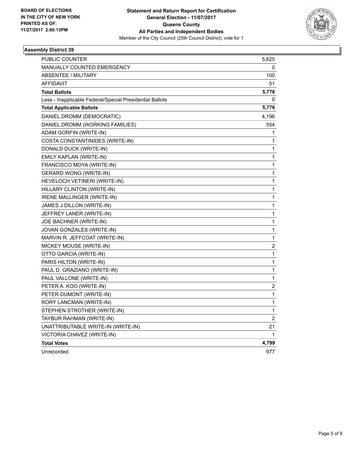

### **Assembly District 39**

| PUBLIC COUNTER                                           | 5,625            |
|----------------------------------------------------------|------------------|
| <b>MANUALLY COUNTED EMERGENCY</b>                        | 0                |
| <b>ABSENTEE / MILITARY</b>                               | 100              |
| AFFIDAVIT                                                | 51               |
| <b>Total Ballots</b>                                     | 5,776            |
| Less - Inapplicable Federal/Special Presidential Ballots | 0                |
| <b>Total Applicable Ballots</b>                          | 5,776            |
| DANIEL DROMM (DEMOCRATIC)                                | 4,196            |
| DANIEL DROMM (WORKING FAMILIES)                          | 554              |
| ADAM GORFIN (WRITE-IN)                                   | 1                |
| COSTA CONSTANTINIDES (WRITE-IN)                          | 1                |
| DONALD DUCK (WRITE-IN)                                   | 1                |
| EMILY KAPLAN (WRITE-IN)                                  | 1                |
| FRANCISCO MOYA (WRITE-IN)                                | 1                |
| <b>GERARD WONG (WRITE-IN)</b>                            | 1                |
| HEVELOCH VETINERI (WRITE-IN)                             | 1                |
| HILLARY CLINTON (WRITE-IN)                               | 1                |
| <b>IRENE MALLINGER (WRITE-IN)</b>                        | 1                |
| JAMES J DILLON (WRITE-IN)                                | 1                |
| JEFFREY LANER (WRITE-IN)                                 | 1                |
| JOE BACHNER (WRITE-IN)                                   | 1                |
| JOVAN GONZALES (WRITE-IN)                                | 1                |
| MARVIN R. JEFFCOAT (WRITE-IN)                            | 1                |
| MICKEY MOUSE (WRITE-IN)                                  | $\boldsymbol{2}$ |
| OTTO GARCIA (WRITE-IN)                                   | $\mathbf{1}$     |
| PARIS HILTON (WRITE-IN)                                  | 1                |
| PAUL D. GRAZIANO (WRITE-IN)                              | 1                |
| PAUL VALLONE (WRITE-IN)                                  | 1                |
| PETER A. KOO (WRITE-IN)                                  | $\boldsymbol{2}$ |
| PETER DUMONT (WRITE-IN)                                  | 1                |
| RORY LANCMAN (WRITE-IN)                                  | 1                |
| STEPHEN STROTHER (WRITE-IN)                              | 1                |
| TAYBUR RAHMAN (WRITE-IN)                                 | 2                |
| UNATTRIBUTABLE WRITE-IN (WRITE-IN)                       | 21               |
| VICTORIA CHAVEZ (WRITE-IN)                               | 1                |
| <b>Total Votes</b>                                       | 4,799            |
| Unrecorded                                               | 977              |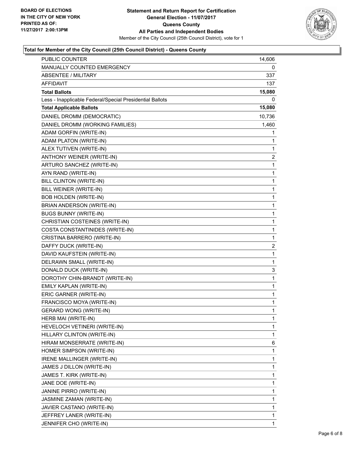

### **Total for Member of the City Council (25th Council District) - Queens County**

| PUBLIC COUNTER                                           | 14,606         |
|----------------------------------------------------------|----------------|
| MANUALLY COUNTED EMERGENCY                               | 0              |
| <b>ABSENTEE / MILITARY</b>                               | 337            |
| AFFIDAVIT                                                | 137            |
| <b>Total Ballots</b>                                     | 15,080         |
| Less - Inapplicable Federal/Special Presidential Ballots | 0              |
| <b>Total Applicable Ballots</b>                          | 15,080         |
| DANIEL DROMM (DEMOCRATIC)                                | 10,736         |
| DANIEL DROMM (WORKING FAMILIES)                          | 1,460          |
| ADAM GORFIN (WRITE-IN)                                   | 1              |
| ADAM PLATON (WRITE-IN)                                   | 1              |
| ALEX TUTIVEN (WRITE-IN)                                  | 1              |
| ANTHONY WEINER (WRITE-IN)                                | $\overline{2}$ |
| ARTURO SANCHEZ (WRITE-IN)                                | $\mathbf{1}$   |
| AYN RAND (WRITE-IN)                                      | 1              |
| BILL CLINTON (WRITE-IN)                                  | $\mathbf 1$    |
| BILL WEINER (WRITE-IN)                                   | 1              |
| <b>BOB HOLDEN (WRITE-IN)</b>                             | 1              |
| BRIAN ANDERSON (WRITE-IN)                                | 1              |
| <b>BUGS BUNNY (WRITE-IN)</b>                             | $\mathbf{1}$   |
| CHRISTIAN COSTEINES (WRITE-IN)                           | 1              |
| COSTA CONSTANTINIDES (WRITE-IN)                          | 1              |
| CRISTINA BARRERO (WRITE-IN)                              | 1              |
| DAFFY DUCK (WRITE-IN)                                    | 2              |
| DAVID KAUFSTEIN (WRITE-IN)                               | 1              |
| DELRAWN SMALL (WRITE-IN)                                 | 1              |
| DONALD DUCK (WRITE-IN)                                   | 3              |
| DOROTHY CHIN-BRANDT (WRITE-IN)                           | $\mathbf 1$    |
| EMILY KAPLAN (WRITE-IN)                                  | 1              |
| ERIC GARNER (WRITE-IN)                                   | 1              |
| FRANCISCO MOYA (WRITE-IN)                                | 1              |
| <b>GERARD WONG (WRITE-IN)</b>                            | $\mathbf{1}$   |
| HERB MAI (WRITE-IN)                                      | 1              |
| HEVELOCH VETINERI (WRITE-IN)                             | 1              |
| HILLARY CLINTON (WRITE-IN)                               | 1              |
| HIRAM MONSERRATE (WRITE-IN)                              | 6              |
| HOMER SIMPSON (WRITE-IN)                                 | 1              |
| IRENE MALLINGER (WRITE-IN)                               | 1              |
| JAMES J DILLON (WRITE-IN)                                | 1              |
| JAMES T. KIRK (WRITE-IN)                                 | 1              |
| JANE DOE (WRITE-IN)                                      | 1              |
| JANINE PIRRO (WRITE-IN)                                  | 1              |
| JASMINE ZAMAN (WRITE-IN)                                 | 1              |
| JAVIER CASTANO (WRITE-IN)                                | 1              |
| JEFFREY LANER (WRITE-IN)                                 | 1              |
| JENNIFER CHO (WRITE-IN)                                  | 1              |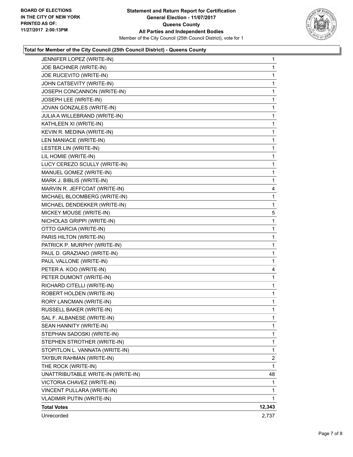

### **Total for Member of the City Council (25th Council District) - Queens County**

| JENNIFER LOPEZ (WRITE-IN)          | 1      |
|------------------------------------|--------|
| JOE BACHNER (WRITE-IN)             | 1      |
| JOE RUCEVITO (WRITE-IN)            | 1      |
| JOHN CATSEVITY (WRITE-IN)          | 1      |
| JOSEPH CONCANNON (WRITE-IN)        | 1      |
| JOSEPH LEE (WRITE-IN)              | 1      |
| JOVAN GONZALES (WRITE-IN)          | 1      |
| JULIA A WILLEBRAND (WRITE-IN)      | 1      |
| KATHLEEN XI (WRITE-IN)             | 1      |
| KEVIN R. MEDINA (WRITE-IN)         | 1      |
| LEN MANIACE (WRITE-IN)             | 1      |
| LESTER LIN (WRITE-IN)              | 1      |
| LIL HOMIE (WRITE-IN)               | 1      |
| LUCY CEREZO SCULLY (WRITE-IN)      | 1      |
| MANUEL GOMEZ (WRITE-IN)            | 1      |
| MARK J. BIBLIS (WRITE-IN)          | 1      |
| MARVIN R. JEFFCOAT (WRITE-IN)      | 4      |
| MICHAEL BLOOMBERG (WRITE-IN)       | 1      |
| MICHAEL DENDEKKER (WRITE-IN)       | 1      |
| MICKEY MOUSE (WRITE-IN)            | 5      |
| NICHOLAS GRIPPI (WRITE-IN)         | 1      |
| OTTO GARCIA (WRITE-IN)             | 1      |
| PARIS HILTON (WRITE-IN)            | 1      |
| PATRICK P. MURPHY (WRITE-IN)       | 1      |
| PAUL D. GRAZIANO (WRITE-IN)        | 1      |
| PAUL VALLONE (WRITE-IN)            | 1      |
| PETER A. KOO (WRITE-IN)            | 4      |
| PETER DUMONT (WRITE-IN)            | 1      |
| RICHARD CITELLI (WRITE-IN)         | 1      |
| ROBERT HOLDEN (WRITE-IN)           | 1      |
| RORY LANCMAN (WRITE-IN)            | 1      |
| RUSSELL BAKER (WRITE-IN)           | 1      |
| SAL F. ALBANESE (WRITE-IN)         | 1      |
| SEAN HANNITY (WRITE-IN)            | 1      |
| STEPHAN SADOSKI (WRITE-IN)         | 1      |
| STEPHEN STROTHER (WRITE-IN)        | 1      |
| STOPITLON L. VANNATA (WRITE-IN)    | 1      |
| TAYBUR RAHMAN (WRITE-IN)           | 2      |
| THE ROCK (WRITE-IN)                | 1      |
| UNATTRIBUTABLE WRITE-IN (WRITE-IN) | 48     |
| VICTORIA CHAVEZ (WRITE-IN)         | 1      |
| VINCENT PULLARA (WRITE-IN)         | 1      |
| <b>VLADIMIR PUTIN (WRITE-IN)</b>   | 1      |
| <b>Total Votes</b>                 | 12,343 |
| Unrecorded                         | 2,737  |
|                                    |        |